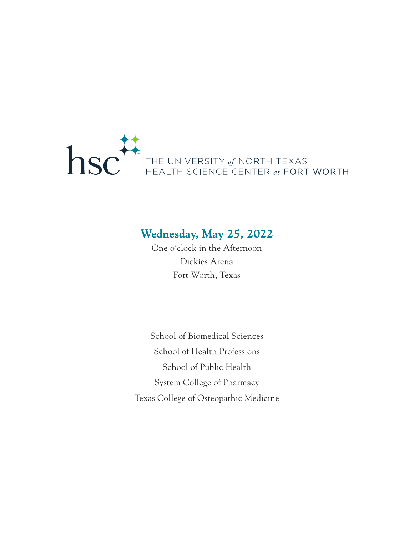

# **Wednesday, May 25, 2022**

One o'clock in the Afternoon Dickies Arena Fort Worth, Texas

School of Biomedical Sciences School of Health Professions School of Public Health System College of Pharmacy Texas College of Osteopathic Medicine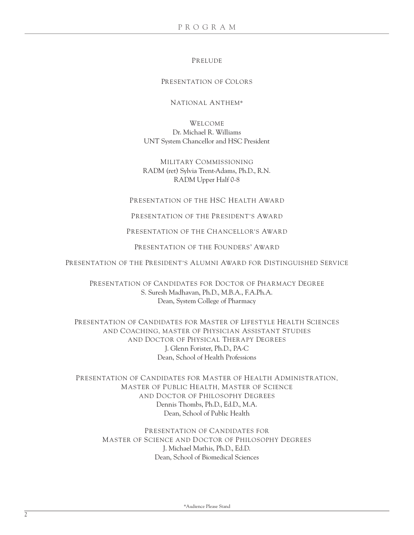#### PRELUDE

#### PRESENTATION OF COLORS

#### NATIONAL ANTHEM\*

WELCOME Dr. Michael R. Williams UNT System Chancellor and HSC President

MILITARY COMMISSIONING RADM (ret) Sylvia Trent-Adams, Ph.D., R.N. RADM Upper Half 0-8

PRESENTATION OF THE HSC HEALTH AWARD

PRESENTATION OF THE PRESIDENT'S AWARD

PRESENTATION OF THE CHANCELLOR'S AWARD

PRESENTATION OF THE FOUNDERS' AWARD

PRESENTATION OF THE PRESIDENT'S ALUMNI AWARD FOR DISTINGUISHED SERVICE

PRESENTATION OF CANDIDATES FOR DOCTOR OF PHARMACY DEGREE S. Suresh Madhavan, Ph.D., M.B.A., F.A.Ph.A. Dean, System College of Pharmacy

PRESENTATION OF CANDIDATES FOR MASTER OF LIFESTYLE HEALTH SCIENCES AND COACHING, MASTER OF PHYSICIAN ASSISTANT STUDIES AND DOCTOR OF PHYSICAL THERAPY DEGREES J. Glenn Forister, Ph.D., PA-C Dean, School of Health Professions

PRESENTATION OF CANDIDATES FOR MASTER OF HEALTH ADMINISTRATION, MASTER OF PUBLIC HEALTH, MASTER OF SCIENCE AND DOCTOR OF PHILOSOPHY DEGREES Dennis Thombs, Ph.D., Ed.D., M.A. Dean, School of Public Health

> PRESENTATION OF CANDIDATES FOR MASTER OF SCIENCE AND DOCTOR OF PHILOSOPHY DEGREES J. Michael Mathis, Ph.D., Ed.D. Dean, School of Biomedical Sciences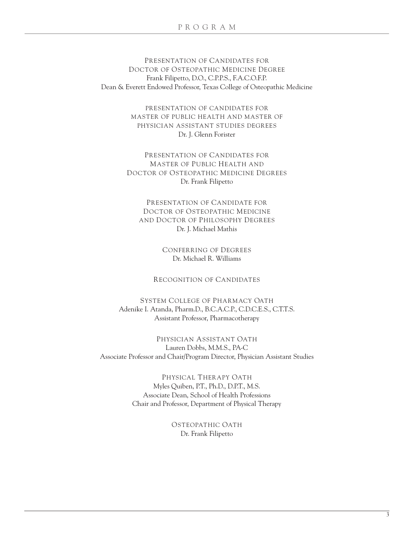PRESENTATION OF CANDIDATES FOR DOCTOR OF OSTEOPATHIC MEDICINE DEGREE Frank Filipetto, D.O., C.P.P.S., F.A.C.O.F.P. Dean & Everett Endowed Professor, Texas College of Osteopathic Medicine

> PRESENTATION OF CANDIDATES FOR MASTER OF PUBLIC HEALTH AND MASTER OF PHYSICIAN ASSISTANT STUDIES DEGREES Dr. J. Glenn Forister

PRESENTATION OF CANDIDATES FOR MASTER OF PUBLIC HEALTH AND DOCTOR OF OSTEOPATHIC MEDICINE DEGREES Dr. Frank Filipetto

PRESENTATION OF CANDIDATE FOR DOCTOR OF OSTEOPATHIC MEDICINE AND DOCTOR OF PHILOSOPHY DEGREES Dr. J. Michael Mathis

> CONFERRING OF DEGREES Dr. Michael R. Williams

#### RECOGNITION OF CANDIDATES

SYSTEM COLLEGE OF PHARMACY OATH Adenike I. Atanda, Pharm.D., B.C.A.C.P., C.D.C.E.S., C.T.T.S. Assistant Professor, Pharmacotherapy

PHYSICIAN ASSISTANT OATH Lauren Dobbs, M.M.S., PA-C Associate Professor and Chair/Program Director, Physician Assistant Studies

> PHYSICAL THERAPY OATH Myles Quiben, P.T., Ph.D., D.P.T., M.S. Associate Dean, School of Health Professions Chair and Professor, Department of Physical Therapy

> > OSTEOPATHIC OATH Dr. Frank Filipetto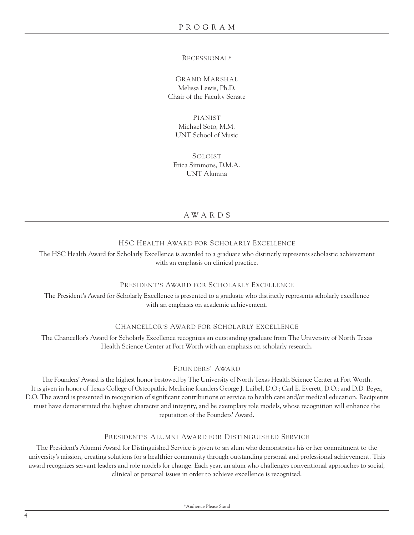#### RECESSIONAL\*

GRAND MARSHAL Melissa Lewis, Ph.D. Chair of the Faculty Senate

PIANIST Michael Soto, M.M. UNT School of Music

SOLOIST Erica Simmons, D.M.A. UNT Alumna

#### AWA R D S

#### HSC HEALTH AWARD FOR SCHOLARLY EXCELLENCE

The HSC Health Award for Scholarly Excellence is awarded to a graduate who distinctly represents scholastic achievement with an emphasis on clinical practice.

#### PRESIDENT'S AWARD FOR SCHOLARLY EXCELLENCE

The President's Award for Scholarly Excellence is presented to a graduate who distinctly represents scholarly excellence with an emphasis on academic achievement.

#### CHANCELLOR'S AWARD FOR SCHOLARLY EXCELLENCE

The Chancellor's Award for Scholarly Excellence recognizes an outstanding graduate from The University of North Texas Health Science Center at Fort Worth with an emphasis on scholarly research.

#### FOUNDERS' AWARD

The Founders' Award is the highest honor bestowed by The University of North Texas Health Science Center at Fort Worth. It is given in honor of Texas College of Osteopathic Medicine founders George J. Luibel, D.O.; Carl E. Everett, D.O.; and D.D. Beyer, D.O. The award is presented in recognition of significant contributions or service to health care and/or medical education. Recipients must have demonstrated the highest character and integrity, and be exemplary role models, whose recognition will enhance the reputation of the Founders' Award.

#### PRESIDENT'S ALUMNI AWARD FOR DISTINGUISHED SERVICE

The President's Alumni Award for Distinguished Service is given to an alum who demonstrates his or her commitment to the university's mission, creating solutions for a healthier community through outstanding personal and professional achievement. This award recognizes servant leaders and role models for change. Each year, an alum who challenges conventional approaches to social, clinical or personal issues in order to achieve excellence is recognized.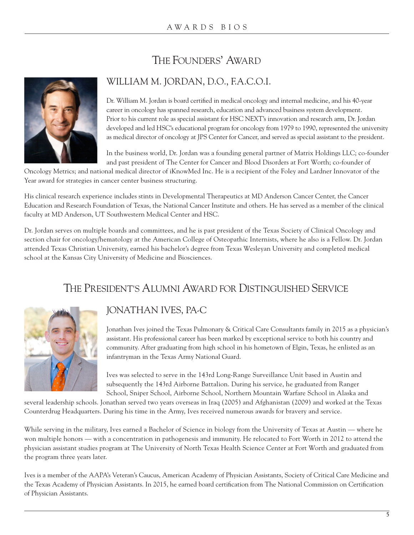# THE FOUNDERS' AWARD



# WILLIAM M. JORDAN, D.O., F.A.C.O.I.

Dr. William M. Jordan is board certified in medical oncology and internal medicine, and his 40-year career in oncology has spanned research, education and advanced business system development. Prior to his current role as special assistant for HSC NEXT's innovation and research arm, Dr. Jordan developed and led HSC's educational program for oncology from 1979 to 1990, represented the university as medical director of oncology at JPS Center for Cancer, and served as special assistant to the president.

In the business world, Dr. Jordan was a founding general partner of Matrix Holdings LLC; co-founder and past president of The Center for Cancer and Blood Disorders at Fort Worth; co-founder of

Oncology Metrics; and national medical director of iKnowMed Inc. He is a recipient of the Foley and Lardner Innovator of the Year award for strategies in cancer center business structuring.

His clinical research experience includes stints in Developmental Therapeutics at MD Anderson Cancer Center, the Cancer Education and Research Foundation of Texas, the National Cancer Institute and others. He has served as a member of the clinical faculty at MD Anderson, UT Southwestern Medical Center and HSC.

Dr. Jordan serves on multiple boards and committees, and he is past president of the Texas Society of Clinical Oncology and section chair for oncology/hematology at the American College of Osteopathic Internists, where he also is a Fellow. Dr. Jordan attended Texas Christian University, earned his bachelor's degree from Texas Wesleyan University and completed medical school at the Kansas City University of Medicine and Biosciences.

# THE PRESIDENT'S ALUMNI AWARD FOR DISTINGUISHED SERVICE



# JONATHAN IVES, PA-C

Jonathan Ives joined the Texas Pulmonary & Critical Care Consultants family in 2015 as a physician's assistant. His professional career has been marked by exceptional service to both his country and community. After graduating from high school in his hometown of Elgin, Texas, he enlisted as an infantryman in the Texas Army National Guard.

Ives was selected to serve in the 143rd Long-Range Surveillance Unit based in Austin and subsequently the 143rd Airborne Battalion. During his service, he graduated from Ranger School, Sniper School, Airborne School, Northern Mountain Warfare School in Alaska and

several leadership schools. Jonathan served two years overseas in Iraq (2005) and Afghanistan (2009) and worked at the Texas Counterdrug Headquarters. During his time in the Army, Ives received numerous awards for bravery and service.

While serving in the military, Ives earned a Bachelor of Science in biology from the University of Texas at Austin — where he won multiple honors — with a concentration in pathogenesis and immunity. He relocated to Fort Worth in 2012 to attend the physician assistant studies program at The University of North Texas Health Science Center at Fort Worth and graduated from the program three years later.

Ives is a member of the AAPA's Veteran's Caucus, American Academy of Physician Assistants, Society of Critical Care Medicine and the Texas Academy of Physician Assistants. In 2015, he earned board certification from The National Commission on Certification of Physician Assistants.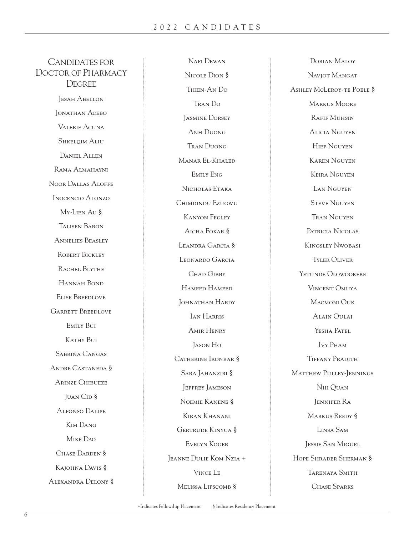### CANDIDATES FOR DOCTOR OF PHARMACY **DEGREE**

Jesah Abellon Jonathan Acebo Valerie Acuna Shkeloim Aliu Daniel Allen Rama Almahayni Noor Dallas Aloffe Inocencio Alonzo My-Lien Au § Talisen Baron Annelies Beasley ROBERT BICKLEY RACHEL BLYTHE Hannah Bond Elise Breedlove GARRETT BREEDLOVE Emily Bui KATHY BUI Sabrina Cangas Andre Castaneda § Arinze Chibueze JUAN CID § Alfonso Dalipe Kim Dang Mike Dao CHASE DARDEN § Kaiohna Davis § Alexandra Delony §

Nafi Dewan Nicole Dion § Thien-An Do Tran Do Jasmine Dorsey Anh Duong Tran Duong Manar El-Khaled Emily Eng Nicholas Etaka Chimdindu Ezugwu Kanyon Fegley AICHA FOKAR § LEANDRA GARCIA § Leonardo Garcia Chad Gibby Hameed Hameed JOHNATHAN HARDY Ian Harris Amir Henry Jason Ho CATHERINE IRONBAR § Sara Jahanziri § Jeffrey Jameson Noemie Kanene § Kiran Khanani Gertrude Kinyua § Evelyn Koger Jeanne Dulie Kom Nzia + Vince Le Melissa Lipscomb §

Dorian Maloy NAVIOT MANGAT Ashley McLeroy-te Poele § Markus Moore Rafif Muhsin Alicia Nguyen Hiep Nguyen Karen Nguyen Keira Nguyen Lan Nguyen Steve Nguyen Tran Nguyen Patricia Nicolas Kingsley Nwobasi Tyler Oliver Yetunde Olowookere Vincent Omuya MACMONI OUK Alain Oulai Yesha Patel Ivy Pham Tiffany Pradith Matthew Pulley-Jennings Nhi Quan Jennifer Ra Markus Reedy § Linsa Sam Jessie San Miguel Hope Shrader Sherman § Tarenaya Smith CHASE SPARKS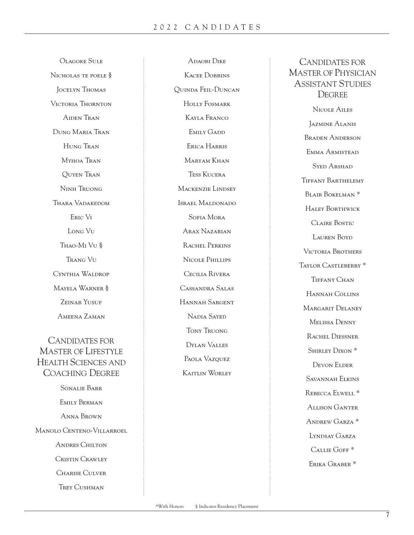Olagoke Sule Nicholas te poele § Jocelyn Thomas Victoria Thornton Aiden Tran Dung Maria Tran Hung Tran Myhoa Tran Quyen Tran Ninh Truong Thara Vadakedom Eric Vi Long Vu Thao-Mi Vu § Trang Vu Cynthia Waldrop Mayela Warner § Zeinab Yusuf Ameena Zaman

# CANDIDATES FOR MASTER OF LIFESTYLE HEALTH SCIENCES AND COACHING DEGREE

Sonalie Barr Emily Berman Anna Brown Manolo Centeno-Villarroel ANDRES CHILTON Cristin Crawley Charise Culver TREY CUSHMAN

ADAOBI DIKE Kacee Dobbins Quinda Feil-Duncan HOLLY FOSMARK Kayla Franco EMILY GADD Erica Harris Maryam Khan Tess Kucera Mackenzie Lindsey Israel Maldonado Sofia Mora Arax Nazarian Rachel Perkins Nicole Phillips Cecilia Rivera Cassandra Salas Hannah Sargent Nadia Sayed Tony Truong Dylan Valles PAOLA VAZQUEZ KAITLIN WORLEY

# CANDIDATES FOR MASTER OF PHYSICIAN ASSISTANT STUDIES **DEGREE**

Nicole Ailes Jazmine Alanis Braden Anderson Emma Armistead SYED ARSHAD Tiffany Barthelemy Blair Bokelman \* Haley Borthwick Claire Bostic Lauren Boyd Victoria Brothers Taylor Castleberry \* Tiffany Chan Hannah Collins Margarit Delaney Melissa Denny Rachel Diessner Shirley Dixon \* Devon Elder Savannah Elkins Rebecca Elwell \* Allison Ganter Andrew Garza \* Lyndsay Garza Callie Goff \* Erika Graber \*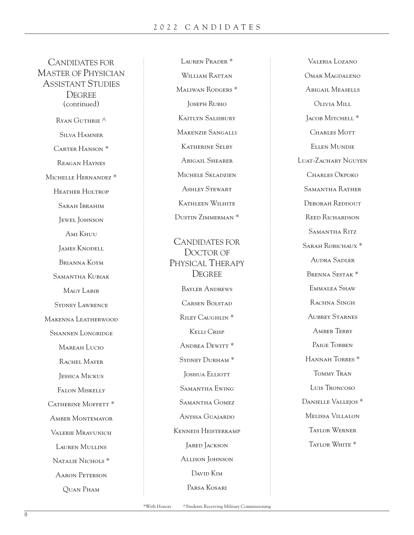CANDIDATES FOR MASTER OF PHYSICIAN ASSISTANT STUDIES **DEGREE** (continued)  $R$ yan Guthrie  $\wedge$ Silva Hamner Carter Hanson \* Reagan Haynes MICHELLE HERNANDEZ<sup>\*</sup> Heather Holtrop Sarah Ibrahim Jewel Johnson Ami Khuu James Knodell Brianna Koym Samantha Kubiak Magy Labib Sydney Lawrence Makenna Leatherwood Shannen Longridge Mareah Lucio RACHEL MAYER Jessica Mickus Falon Miskelly CATHERINE MOFFETT<sup>\*</sup> Amber Montemayor

Valerie Mravunich Lauren Mullins Natalie Nichols \* Aaron Peterson Quan Pham

LAUREN PRADER<sup>\*</sup> WILLIAM RATTAN MALIWAN RODGERS<sup>\*</sup> Joseph Rubio Kaitlyn Salisbury Makenzie Sangalli Katherine Selby Abigail Shearer Michele Skladzien Ashley Stewart Kathleen Wilhite Dustin Zimmerman \*

CANDIDATES FOR DOCTOR OF PHYSICAL THERAPY **DEGREE** Bayler Andrews Carsen Bolstad Riley Caughlin \* Kelli Crisp ANDREA DEWITT<sup>\*</sup> Sydney Durham \* **JOSHUA ELLIOTT** Samantha Ewing Samantha Gomez Anyssa Guajardo Kennedi Heisterkamp JARED JACKSON Allison Johnson David Kim

Parsa Kosari

Valeria Lozano Omar Magdaleno Abigail Measells Olivia Mill JACOB MITCHELL<sup>\*</sup> CHARLES MOTT Ellen Mundie Luat-Zachary Nguyen Charles Okpoko Samantha Rather DEBORAH REDDOUT Reed Richardson Samantha Ritz Sarah Robichaux \* Audra Sadler Brenna Sestak \* EMMALEA SHAW RACHNA SINGH Aubrey Starnes Amber Terry PAIGE TOBBEN Hannah Torres \* Tommy Tran Luis Troncoso DANIELLE VALLEJOS<sup>\*</sup> Melissa Villalon Taylor Werner TAYLOR WHITE \*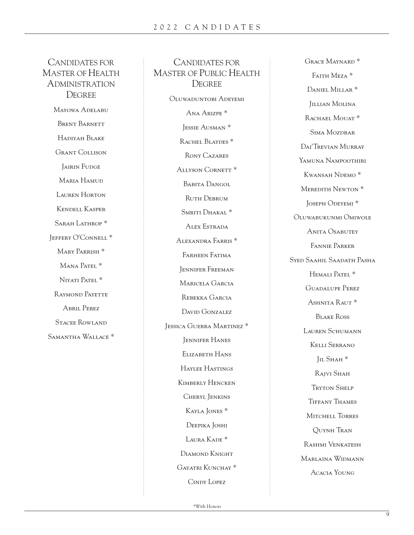# CANDIDATES FOR MASTER OF HEALTH ADMINISTRATION **DEGREE**

Mayowa Adelabu Brent Barnett Hadiyah Blake Grant Collison **JAIRIN FUDGE** Maria Hamud Lauren Horton Kendell Kasper SARAH LATHROP<sup>\*</sup> Jeffery O'Connell \* Mary Parrish \* MANA PATEL<sup>\*</sup> Niyati Patel \* RAYMOND PAYETTE Abril Perez Stacee Rowland Samantha Wallace \*

CANDIDATES FOR MASTER OF PUBLIC HEALTH **DEGREE** Oluwaduntobi Adeyemi Ana Arizpe \* Jessie Ausman \* RACHEL BLAYDES<sup>\*</sup> Rony Cazares ALLYSON CORNETT<sup>\*</sup> BABITA DANGOL RUTH DEBRUM SMRITI DHAKAL<sup>\*</sup> Alex Estrada Alexandra Farris \* Farheen Fatima Jennifer Freeman Maricela Garcia Rebekka Garcia DAVID GONZALEZ Jessica Guerra Martinez \* Jennifer Hanes Elizabeth Hans Haylee Hastings KIMBERLY HENCKEN Cheryl Jenkins Kayla Jones \* Deepika Joshi Laura Kade<sup>\*</sup> Diamond Knight GAYATRI KUNCHAY<sup>\*</sup> Cindy Lopez

Grace Maynard \* FAITH MEZA<sup>\*</sup> Daniel Millar \* Jillian Molina RACHAEL MOUAT<sup>\*</sup> SIMA MOZDBAR Dai'Trevian Murray YAMUNA NAMPOOTHIRI KWANSAH NDEMO<sup>\*</sup> Meredith Newton \* JOSEPH ODEYEMI<sup>\*</sup> Oluwabukunmi Omiwole ANITA OSABUTEY Fannie Parker Syed Saahil Saadath Pasha HEMALI PATEL<sup>\*</sup> Guadalupe Perez ASHNITA RAUT<sup>\*</sup> Blake Ross Lauren Schumann Kelli Serrano Jil Shah \* Rajvi Shah Tryton Shelp Tiffany Thames MITCHELL TORRES Quynh Tran Rashmi Venkatesh Marlaina Widmann Acacia Young

\*With Honors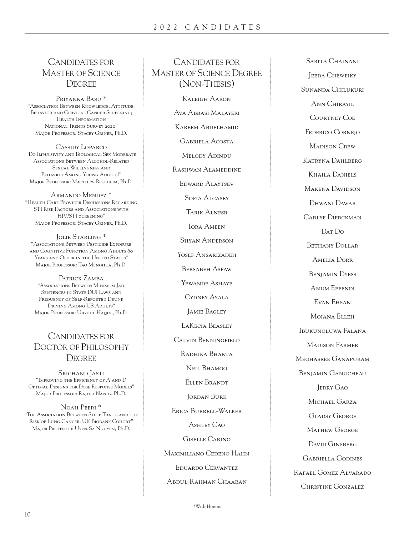CANDIDATES FOR

### CANDIDATES FOR MASTER OF SCIENCE **DEGREE**

Priyanka Basu \* "Association Between Knowledge, Attitude, Behavior and Cervical Cancer Screening; Health Information NATIONAL TRENDS SURVEY 2020" Major Professor: Stacey Griner, Ph.D.

Cassidy Loparco "Do Impulsivity and Biological Sex Moderate Associations Between Alcohol-Related Sexual Willingness and BEHAVIOR AMONG YOUNG ADULTS?" Major Professor: Matthew Rossheim, Ph.D.

Armando Mendez \* "Health Care Provider Discussions Regarding STI Risk Factors and Associations with HIV/STI Screening" Major Professor: Stacey Griner, Ph.D.

Jolie Starling \* "Associations Between Pesticide Exposure and Cognitive Function Among Adults 60 YEARS AND OLDER IN THE UNITED STATES" Major Professor: Tao Menghua, Ph.D.

PATRICK ZAMBA "Associations Between Minimum Jail Sentences in State DUI Laws and FREQUENCY OF SELF-REPORTED DRUNK Driving Among US Adults" Major Professor: Ubydul Haque, Ph.D.

## CANDIDATES FOR DOCTOR OF PHILOSOPHY **DEGREE**

SRICHAND JASTI "Improving the Efficiency of A and D Optimal Designs for Dose Response Models" Major Professor: Rajesh Nandy, Ph.D.

NOAH PEERI<sup>\*</sup> "The Association Between Sleep Traits and the Risk of Lung Cancer: UK Biobank Cohort" Major Professor: Uyen-Sa Nguyen, Ph.D.

MASTER OF SCIENCE DEGREE (NON-THESIS) Kaleigh Aaron Ava Abbasi Malayeri Kareem Abdelhamid Gabriela Acosta Melody Adindu Rashwan Alameddine Edward Alaytsev SOFIA ALCASEY Tarik Alnesr **IORA AMEEN** Shyan Anderson YOSEF ANSARIZADEH Bersabeh Asfaw Yewande Ashaye CYDNEY AYALA Jamie Bagley LAKECIA BEASLEY Calvin Benningfield Radhika Bhakta Neil Bhamoo ELLEN BRANDT JORDAN BURK Erica Burrell-Walker Ashley Cao Giselle Carino Maximiliano Cedeno Hahn Eduardo Cervantez Abdul-Rahman Chaaban

Sarita Chainani Jeeda Cheweiky Sunanda Chilukuri Ann Chirayil COURTNEY COE Federico Cornejo Madison Crew Katryna Dahlberg Khaila Daniels Makena Davidson Dhwani Dawar Carlye Dierckman Dat Do Bethany Dollar Amelia Dorr BENIAMIN DYESS Anum Effendi Evan Ehsan Mojana Elleh Ibukunoluwa Falana Madison Farmer Meghasree Ganapuram BENJAMIN GANUCHEAU Jerry Gao MICHAEL GARZA Gladsy George Mathew George DAVID GINSBERG Gabriella Godines Rafael Gomez Alvarado Christine Gonzalez

\*With Honors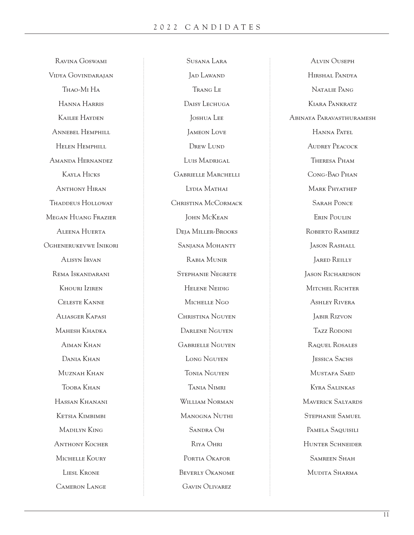Ravina Goswami Vidya Govindarajan Thao-Mi Ha Hanna Harris KAILEE HAYDEN Annebel Hemphill Helen Hemphill Amanda Hernandez Kayla Hicks Anthony Hiran Thaddeus Holloway Megan Huang Frazier Aleena Huerta Oghenerukevwe Inikori Alisyn Irvan Rema Iskandarani Khouri Iziren Celeste Kanne Aliasger Kapasi Mahesh Khadka Aiman Khan Dania Khan Muznah Khan Tooba Khan Hassan Khanani Ketsia Kimbimbi Madilyn King Anthony Kocher MICHELLE KOURY Liesl Krone Cameron Lange

Susana Lara Jad Lawand Trang Le DAISY LECHUGA Joshua Lee Jameon Love DREW LUND Luis Madrigal Gabrielle Marchelli Lydia Mathai Christina McCormack John McKean Deja Miller-Brooks SANJANA MOHANTY Rabia Munir Stephanie Negrete Helene Neidig MICHELLE NGO Christina Nguyen Darlene Nguyen Gabrielle Nguyen Long Nguyen Tonia Nguyen Tania Nimri William Norman Manogna Nuthi SANDRA OH Riya Ohri PORTIA OKAFOR Beverly Okanome Gavin Olivarez

Alvin Ouseph Hirshal Pandya Natalie Pang Kiara Pankratz Abinaya Paravasthuramesh Hanna Patel Audrey Peacock Theresa Pham Cong-Bao Phan Mark Phyathep Sarah Ponce Erin Poulin Roberto Ramirez JASON RASHALL Jared Reilly Jason Richardson MITCHEL RICHTER Ashley Rivera Jabir Rizvon Tazz RODONI Raquel Rosales **JESSICA SACHS** MUSTAFA SAED Kyra Salinkas Maverick Salyards Stephanie Samuel PAMELA SAQUISILI HUNTER SCHNEIDER SAMREEN SHAH Mudita Sharma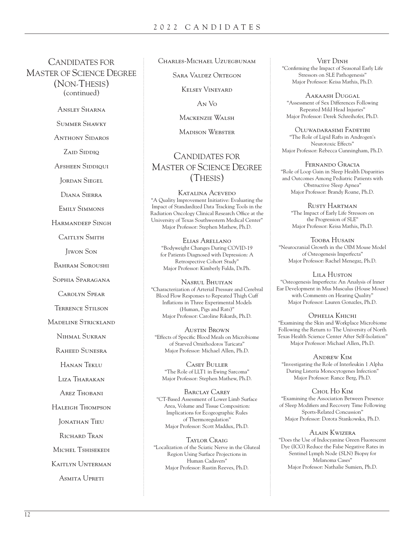### CANDIDATES FOR MASTER OF SCIENCE DEGREE (NON-THESIS) (continued)

ANSLEY SHARNA

Summer Shawky

Anthony Sidaros

Zaid Siddio

AFSHEEN SIDDIQUI

**JORDAN SIEGEL** 

Diana Sierra

Emily Simmons

Harmandeep Singh

CAITLYN SMITH

Jiwon Son

BAHRAM SOROUSHI

Sophia Sparagana

Carolyn Spear

Terrence Stilson

Madeline Strickland

Nihmal Sukran

Raheed Sunesra

Hanan Teklu

Liza Tharakan

AREZ THOBANI

Haleigh Thompson

**JONATHAN TIEU** 

RICHARD TRAN

MICHEL TSHISEKEDI

Kaitlyn Unterman

ASMITA UPRETI

#### CHARLES-MICHAEL UZUEGBUNAM

Sara Valdez Ortegon

Kelsey Vineyard

An Vo

Mackenzie Walsh

Madison Webster

## CANDIDATES FOR MASTER OF SCIENCE DEGREE (THESIS)

Katalina Acevedo "A Quality Improvement Initiative: Evaluating the Impact of Standardized Data Tracking Tools in the Radiation Oncology Clinical Research Office at the University of Texas Southwestern Medical Center" Major Professor: Stephen Mathew, Ph.D.

Elias Arellano "Bodyweight Changes During COVID-19 for Patients Diagnosed with Depression: A Retrospective Cohort Study" Major Professor: Kimberly Fulda, Dr.Ph.

Nasrul Bhuiyan "Characterization of Arterial Pressure and Cerebral Blood Flow Responses to Repeated Thigh Cuff Inflations in Three Experimental Models (Human, Pigs and Rats)" Major Professor: Caroline Rikards, Ph.D.

Austin Brown "Effects of Specific Blood Meals on Microbiome of Starved Ornithodoros Turicata" Major Professor: Michael Allen, Ph.D.

Casey Buller "The Role of LLT1 in Ewing Sarcoma" Major Professor: Stephen Mathew, Ph.D.

BARCLAY CAREY "CT-Based Assessment of Lower Limb Surface Area, Volume and Tissue Composition: Implications for Ecogeographic Rules of Thermoregulation" Major Professor: Scott Maddux, Ph.D.

Taylor Craig "Localization of the Sciatic Nerve in the Gluteal Region Using Surface Projections in Human Cadavers" Major Professor: Rustin Reeves, Ph.D.

**VIET DINH** "Confirming the Impact of Seasonal Early Life Stressors on SLE Pathogenesis" Major Professor: Keisa Mathis, Ph.D.

AAKAASH DUGGAL "Assessment of Sex Differences Following Repeated Mild Head Injuries" Major Professor: Derek Schreihofer, Ph.D.

Oluwadarasimi Fadeyibi "The Role of Lipid Rafts in Androgen's Neurotoxic Effects" Major Professor: Rebecca Cunningham, Ph.D.

Fernando Gracia "Role of Loop Gain in Sleep Health Disparities and Outcomes Among Pediatric Patients with Obstructive Sleep Apnea" Major Professor: Brandy Roane, Ph.D.

Rusty Hartman "The Impact of Early Life Stressors on the Progression of SLE" Major Professor: Keisa Mathis, Ph.D.

Tooba Husain "Neurocranial Growth in the OIM Mouse Model of Osteogenesis Imperfecta" Major Professor: Rachel Menegaz, Ph.D.

Lila Huston

"Osteogenesis Imperfecta: An Analysis of Inner Ear Development in Mus Musculus (House Mouse) with Comments on Hearing Quality" Major Professor: Lauren Gonazles, Ph.D.

Ophelia Khichi "Examining the Skin and Workplace Microbiome Following the Return to The University of North Texas Health Science Center After Self-Isolation" Major Professor: Michael Allen, Ph.D.

Andrew Kim "Investigating the Role of Interleukin 1 Alpha During Listeria Monocytogenes Infection" Major Professor: Rance Berg, Ph.D.

#### Chol Ho Kim

"Examining the Association Between Presence of Sleep Modifiers and Recovery Time Following Sports-Related Concussion" Major Professor: Dorota Stankowska, Ph.D.

#### Alain Kwizera

"Does the Use of Indocyanine Green Fluorescent Dye (ICG) Reduce the False Negative Rates in Sentinel Lymph Node (SLN) Biopsy for Melanoma Cases" Major Professor: Nathalie Sumien, Ph.D.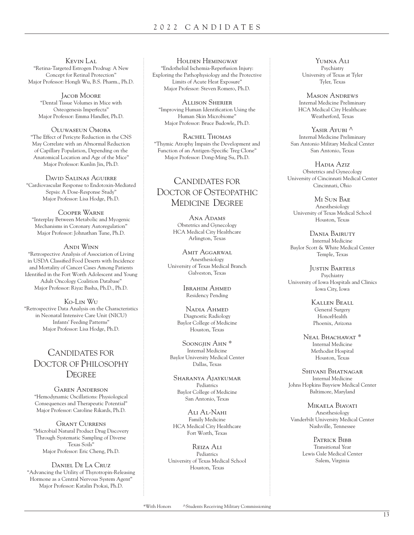Kevin Lal "Retina-Targeted Estrogen Prodrug: A New Concept for Retinal Protection" Major Professor: Hongli Wu, B.S. Pharm., Ph.D.

Jacob Moore "Dental Tissue Volumes in Mice with Osteogenesis Imperfecta" Major Professor: Emma Handler, Ph.D.

Oluwaseun Omoba "The Effect of Pericyte Reduction in the CNS May Correlate with an Abnormal Reduction of Capillary Population, Depending on the Anatomical Location and Age of the Mice" Major Professor: Kunlin Jin, Ph.D.

David Salinas Aguirre "Cardiovascular Response to Endotoxin-Mediated Sepsis: A Dose-Response Study" Major Professor: Lisa Hodge, Ph.D.

Cooper Warne "Interplay Between Metabolic and Myogenic Mechanisms in Coronary Autoregulation" Major Professor: Johnathan Tune, Ph.D.

Andi Winn "Retrospective Analysis of Association of Living in USDA Classified Food Deserts with Incidence and Mortality of Cancer Cases Among Patients Identified in the Fort Worth Adolescent and Young Adult Oncology Coalition Database" Major Professor: Riyaz Basha, Ph.D., Ph.D.

Ko-Lin Wu "Retrospective Data Analysis on the Characteristics in Neonatal Intensive Care Unit (NICU) Infants' Feeding Patterns" Major Professor: Lisa Hodge, Ph.D.

### CANDIDATES FOR DOCTOR OF PHILOSOPHY **DEGREE**

Garen Anderson "Hemodynamic Oscillations: Physiological Consequences and Therapeutic Potential" Major Professor: Caroline Rikards, Ph.D.

Grant Currens "Microbial Natural Product Drug Discovery Through Systematic Sampling of Diverse Texas Soils" Major Professor: Eric Cheng, Ph.D.

Daniel De La Cruz "Advancing the Utility of Thyrotropin-Releasing Hormone as a Central Nervous System Agent" Major Professor: Katalin Prokai, Ph.D.

Holden Hemingway "Endothelial Ischemia-Reperfusion Injury: Exploring the Pathophysiology and the Protective Limits of Acute Heat Exposure" Major Professor: Steven Romero, Ph.D.

Allison Sherier "Improving Human Identification Using the Human Skin Microbiome" Major Professor: Bruce Budowle, Ph.D.

RACHEL THOMAS "Thymic Atrophy Impairs the Development and Function of an Antigen-Specific Treg Clone" Major Professor: Dong-Ming Su, Ph.D.

### CANDIDATES FOR DOCTOR OF OSTEOPATHIC MEDICINE DEGREE

Ana Adams Obstetrics and Gynecology HCA Medical City Healthcare Arlington, Texas

Amit Aggarwal Anesthesiology University of Texas Medical Branch Galveston, Texas

> Ibrahim Ahmed Residency Pending

Nadia Ahmed Diagnostic Radiology Baylor College of Medicine Houston, Texas

Soongjin Ahn \* Internal Medicine Baylor University Medical Center Dallas, Texas

Sharanya Ajaykumar Pediatrics Baylor College of Medicine San Antonio, Texas

Ali Al-Nahi Family Medicine HCA Medical City Healthcare Fort Worth, Texas

Reiza Ali Pediatrics University of Texas Medical School Houston, Texas

Yumna Ali Psychiatry University of Texas at Tyler Tyler, Texas

Mason Andrews Internal Medicine Preliminary HCA Medical City Healthcare Weatherford, Texas

YASIR AYUBI  $\wedge$ Internal Medicine Preliminary San Antonio Military Medical Center San Antonio, Texas

Hadia Aziz Obstetrics and Gynecology University of Cincinnati Medical Center Cincinnati, Ohio

Mi Sun Bae Anesthesiology University of Texas Medical School Houston, Texas

Dania Bairuty Internal Medicine Baylor Scott & White Medical Center Temple, Texas

Justin Bartels Psychiatry University of Iowa Hospitals and Clinics Iowa City, Iowa

> Kallen Beall General Surgery **HonorHealth** Phoenix, Arizona

Neal Bhachawat<sup>\*</sup> Internal Medicine Methodist Hospital Houston, Texas

Shivani Bhatnagar Internal Medicine Johns Hopkins Bayview Medical Center Baltimore, Maryland

Mikaela Biavati Anesthesiology Vanderbilt University Medical Center Nashville, Tennessee

> PATRICK BIBB Transitional Year Lewis Gale Medical Center Salem, Virginia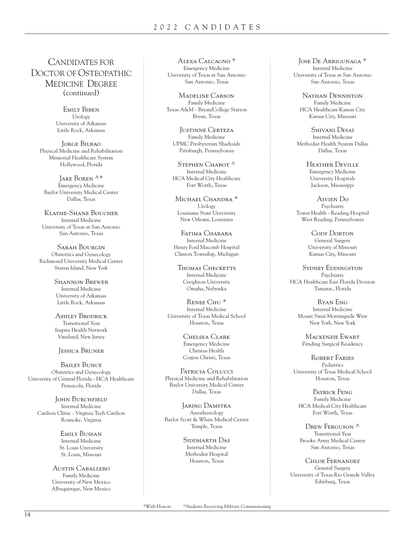### CANDIDATES FOR DOCTOR OF OSTEOPATHIC MEDICINE DEGREE (continued)

Emily Biben Urology University of Arkansas Little Rock, Arkansas

Jorge Bilbao Physical Medicine and Rehabilitation Memorial Healthcare System Hollywood, Florida

JAKE BOREN  $\wedge^*$ Emergency Medicine Baylor University Medical Center Dallas, Texas

Klayme-Shane Boucher Internal Medicine University of Texas at San Antonio San Antonio, Texas

Sarah Bourgin Obstetrics and Gynecology Richmond University Medical Center Staten Island, New York

> Shannon Brewer Internal Medicine University of Arkansas Little Rock, Arkansas

Ashley Brodrick Transitional Year Inspira Health Network Vineland, New Jersey

#### Jessica Bruner

BAILEY BUNCE Obstetrics and Gynecology University of Central Florida - HCA Healthcare Pensacola, Florida

**JOHN BURCHFIELD** Internal Medicine Carilion Clinic - Virginia Tech Carilion Roanoke, Virginia

> Emily Bussan Internal Medicine St. Louis University St. Louis, Missouri

Austin Caballero Family Medicine University of New Mexico Albuquerque, New Mexico

Alexa Calcagno \* Emergency Medicine University of Texas at San Antonio San Antonio, Texas

Madeline Carson Family Medicine Texas A&M - Bryan/College Station Bryan, Texas

Justinne Certeza Family Medicine UPMC Presbyterian Shadyside Pittsburgh, Pennsylvania

STEPHEN CHABOT<sup>A</sup> Internal Medicine HCA Medical City Healthcare Fort Worth, Texas

MICHAEL CHANDRA<sup>\*</sup> Urology Louisiana State University New Orleans, Louisiana

Fatima Charara Internal Medicine Henry Ford Macomb Hospital Clinton Township, Michigan

THOMAS CHECKETTS Internal Medicine Creighton University Omaha, Nebraska

Renee Chu \* Internal Medicine University of Texas Medical School Houston, Texas

> Chelsea Clark Emergency Medicine Christus Health Corpus Christi, Texas

PATRICIA COLUCCI Physical Medicine and Rehabilitation Baylor University Medical Center Dallas, Texas

Jaring Damstra Anesthesiology Baylor Scott & White Medical Center Temple, Texas

> Siddharth Das Internal Medicine Methodist Hospital Houston, Texas

Jose De Arrigunaga \* Internal Medicine University of Texas at San Antonio San Antonio, Texas

Nathan Denniston Family Medicine HCA Healthcare Kansas City Kansas City, Missouri

Shivani Desai Internal Medicine Methodist Health System Dallas Dallas, Texas

> Heather Deville Emergency Medicine University Hospitals Jackson, Mississippi

Aivien Do Psychiatry Tower Health - Reading Hospital West Reading, Pennsylvania

> Cody Dorton General Surgery University of Missouri Kansas City, Missouri

SYDNEY EDDINGSTON Psychiatry HCA Healthcare East Florida Division Tamarac, Florida

Ryan Eng Internal Medicine Mount Sinai Morningside West New York, New York

Mackenzie Ewart Pending Surgical Residency

Robert Faries Pediatrics University of Texas Medical School Houston, Texas

PATRICK FENG Family Medicine HCA Medical City Healthcare Fort Worth, Texas

DREW FERGUSON  $\wedge$ Transitional Year Brooke Army Medical Center San Antonio, Texas

Chloe Fernandez General Surgery University of Texas Rio Grande Valley Edinburg, Texas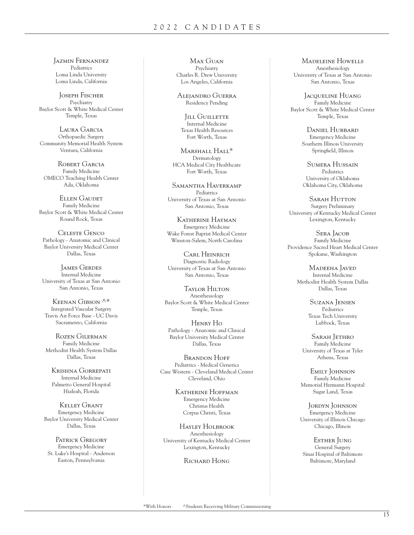Jazmin Fernandez Pediatrics Loma Linda University Loma Linda, California

Joseph Fischer Psychiatry Baylor Scott & White Medical Center Temple, Texas

Laura Garcia Orthopaedic Surgery Community Memorial Health System Ventura, California

ROBERT GARCIA Family Medicine OMECO Teaching Health Center Ada, Oklahoma

ELLEN GAUDET Family Medicine Baylor Scott & White Medical Center Round Rock, Texas

Celeste Genco Pathology - Anatomic and Clinical Baylor University Medical Center Dallas, Texas

James Gerdes Internal Medicine University of Texas at San Antonio San Antonio, Texas

Keenan Gibson ^\* Integrated Vascular Surgery Travis Air Force Base - UC Davis Sacramento, California

Rozen Gilerman Family Medicine Methodist Health System Dallas Dallas, Texas

Krishna Gorrepati Internal Medicine Palmetto General Hospital Hialeah, Florida

Kelley Grant Emergency Medicine Baylor University Medical Center Dallas, Texas

PATRICK GREGORY Emergency Medicine St. Luke's Hospital - Anderson Easton, Pennsylvania

Max Guan Psychiatry Charles R. Drew University Los Angeles, California

Alejandro Guerra Residency Pending

IILL GUILLETTE Internal Medicine Texas Health Resources Fort Worth, Texas

MARSHALL HALL\* Dermatology HCA Medical City Healthcare Fort Worth, Texas

Samantha Haverkamp Pediatrics University of Texas at San Antonio San Antonio, Texas

Katherine Hayman Emergency Medicine Wake Forest Baptist Medical Center Winston-Salem, North Carolina

Carl Heinrich Diagnostic Radiology University of Texas at San Antonio San Antonio, Texas

Taylor Hilton Anesthesiology Baylor Scott & White Medical Center Temple, Texas

Henry Ho Pathology - Anatomic and Clinical Baylor University Medical Center Dallas, Texas

BRANDON HOFF Pediatrics - Medical Genetics Case Western - Cleveland Medical Center Cleveland, Ohio

> Katherine Hoffman Emergency Medicine Christus Health Corpus Christi, Texas

Hayley Holbrook Anesthesiology University of Kentucky Medical Center Lexington, Kentucky

RICHARD HONG

Madeleine Howells Anesthesiology University of Texas at San Antonio San Antonio, Texas

Jacqueline Huang Family Medicine Baylor Scott & White Medical Center Temple, Texas

> DANIEL HUBBARD Emergency Medicine Southern Illinois University Springfield, Illinois

Sumera Hussain Pediatrics University of Oklahoma Oklahoma City, Oklahoma

Sarah Hutton Surgery Preliminary University of Kentucky Medical Center Lexington, Kentucky

Sera Jacob Family Medicine Providence Sacred Heart Medical Center Spokane, Washington

> Madeeha Javed Internal Medicine Methodist Health System Dallas Dallas, Texas

> > Suzana Jensen Pediatrics Texas Tech University Lubbock, Texas

Sarah Jethro Family Medicine University of Texas at Tyler Athens, Texas

Emily Johnson Family Medicine Memorial Hermann Hospital Sugar Land, Texas

JORDYN JOHNSON Emergency Medicine University of Illinois Chicago Chicago, Illinois

Esther Jung General Surgery Sinai Hospital of Baltimore Baltimore, Maryland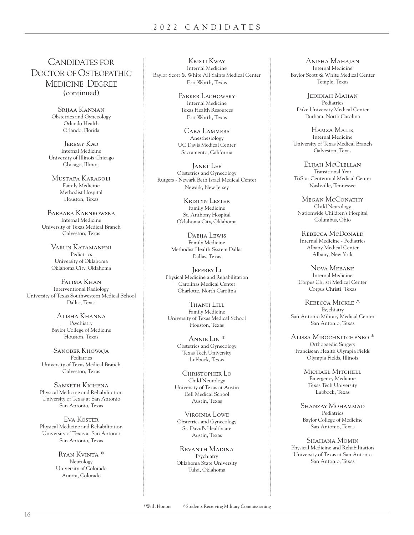### CANDIDATES FOR DOCTOR OF OSTEOPATHIC MEDICINE DEGREE (continued)

Srijaa Kannan Obstetrics and Gynecology Orlando Health Orlando, Florida

Jeremy Kao Internal Medicine University of Illinois Chicago Chicago, Illinois

Mustafa Karagoli Family Medicine Methodist Hospital Houston, Texas

Barbara Karnkowska Internal Medicine University of Texas Medical Branch Galveston, Texas

> Varun Katamaneni Pediatrics University of Oklahoma Oklahoma City, Oklahoma

Fatima Khan Interventional Radiology University of Texas Southwestern Medical School Dallas, Texas

> Alisha Khanna Psychiatry Baylor College of Medicine Houston, Texas

Sanober Khowaja Pediatrics University of Texas Medical Branch Galveston, Texas

Sanketh Kichena Physical Medicine and Rehabilitation University of Texas at San Antonio San Antonio, Texas

Eva Koster Physical Medicine and Rehabilitation University of Texas at San Antonio San Antonio, Texas

> Ryan Kvinta \* Neurology University of Colorado Aurora, Colorado

Kristi Kway Internal Medicine Baylor Scott & White All Saints Medical Center Fort Worth, Texas

> PARKER LACHOWSKY Internal Medicine Texas Health Resources Fort Worth, Texas

Cara Lammers Anesthesiology UC Davis Medical Center Sacramento, California

**JANET LEE** Obstetrics and Gynecology Rutgers - Newark Beth Israel Medical Center Newark, New Jersey

> Kristyn Lester Family Medicine St. Anthony Hospital Oklahoma City, Oklahoma

Daeila Lewis Family Medicine Methodist Health System Dallas Dallas, Texas

**JEFFREY LI** Physical Medicine and Rehabilitation Carolinas Medical Center Charlotte, North Carolina

Thanh Lill Family Medicine University of Texas Medical School Houston, Texas

> Annie Lin \* Obstetrics and Gynecology Texas Tech University Lubbock, Texas

Christopher Lo Child Neurology University of Texas at Austin Dell Medical School Austin, Texas

Virginia Lowe Obstetrics and Gynecology St. David's Healthcare Austin, Texas

Revanth Madina Psychiatry Oklahoma State University Tulsa, Oklahoma

Anisha Mahajan Internal Medicine Baylor Scott & White Medical Center Temple, Texas

Jedidiah Mahan Pediatrics Duke University Medical Center Durham, North Carolina

Hamza Malik Internal Medicine University of Texas Medical Branch Galveston, Texas

ELIJAH McCLELLAN Transitional Year TriStar Centennial Medical Center Nashville, Tennessee

Megan McConathy Child Neurology Nationwide Children's Hospital Columbus, Ohio

Rebecca McDonald Internal Medicine - Pediatrics Albany Medical Center Albany, New York

Nova Mebane Internal Medicine Corpus Christi Medical Center Corpus Christi, Texas

REBECCA MICKLE  $\wedge$ Psychiatry San Antonio Military Medical Center San Antonio, Texas

Alissa Mirochnitchenko \* Orthopaedic Surgery Franciscan Health Olympia Fields Olympia Fields, Illinois

> MICHAEL MITCHELL Emergency Medicine Texas Tech University Lubbock, Texas

Shanzay Mohammad Pediatrics Baylor College of Medicine San Antonio, Texas

Shahana Momin Physical Medicine and Rehabilitation University of Texas at San Antonio San Antonio, Texas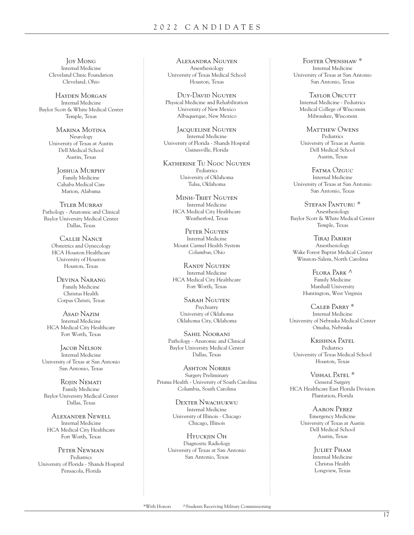Joy Mong Internal Medicine Cleveland Clinic Foundation Cleveland, Ohio

Hayden Morgan Internal Medicine Baylor Scott & White Medical Center Temple, Texas

> Marina Motina Neurology University of Texas at Austin Dell Medical School Austin, Texas

> > Joshua Murphy Family Medicine Cahaba Medical Care Marion, Alabama

Tyler Murray Pathology - Anatomic and Clinical Baylor University Medical Center Dallas, Texas

Callie Nance Obstetrics and Gynecology HCA Houston Healthcare University of Houston Houston, Texas

Devina Narang Family Medicine Christus Health Corpus Christi, Texas

Asad Nazim Internal Medicine HCA Medical City Healthcare Fort Worth, Texas

Jacob Nelson Internal Medicine University of Texas at San Antonio San Antonio, Texas

ROJIN NEMATI Family Medicine Baylor University Medical Center Dallas, Texas

Alexander Newell Internal Medicine HCA Medical City Healthcare Fort Worth, Texas

Peter Newman Pediatrics University of Florida - Shands Hospital Pensacola, Florida

Alexandra Nguyen Anesthesiology University of Texas Medical School Houston, Texas

Duy-David Nguyen Physical Medicine and Rehabilitation University of New Mexico Albuquerque, New Mexico

Jacqueline Nguyen Internal Medicine University of Florida - Shands Hospital Gainesville, Florida

Katherine Tu Ngoc Nguyen Pediatrics University of Oklahoma Tulsa, Oklahoma

> Minh-Triet Nguyen Internal Medicine HCA Medical City Healthcare Weatherford, Texas

Peter Nguyen Internal Medicine Mount Carmel Health System Columbus, Ohio

Randy Nguyen Internal Medicine HCA Medical City Healthcare Fort Worth, Texas

Sarah Nguyen Psychiatry University of Oklahoma Oklahoma City, Oklahoma

SAHIL NOORANI Pathology - Anatomic and Clinical Baylor University Medical Center Dallas, Texas

Ashton Norris Surgery Preliminary Prisma Health - University of South Carolina Columbia, South Carolina

> DEXTER NWACHUKWU Internal Medicine University of Illinois - Chicago Chicago, Illinois

Hyuckjin Oh Diagnostic Radiology University of Texas at San Antonio San Antonio, Texas

Foster Openshaw \* Internal Medicine University of Texas at San Antonio San Antonio, Texas

Taylor Orcutt Internal Medicine - Pediatrics Medical College of Wisconsin Milwaukee, Wisconsin

MATTHEW OWENS Pediatrics University of Texas at Austin Dell Medical School Austin, Texas

Fatma Ozguc Internal Medicine University of Texas at San Antonio San Antonio, Texas

Stefan Panturu \* Anesthesiology Baylor Scott & White Medical Center Temple, Texas

Tiraj Parikh Anesthesiology Wake Forest Baptist Medical Center Winston-Salem, North Carolina

> Flora Park ^ Family Medicine Marshall University Huntington, West Virginia

Caleb Parry \* Internal Medicine University of Nebraska Medical Center Omaha, Nebraska

Krishna Patel Pediatrics University of Texas Medical School Houston, Texas

Vishal Patel \* General Surgery HCA Healthcare East Florida Division Plantation, Florida

> Aaron Perez Emergency Medicine University of Texas at Austin Dell Medical School Austin, Texas

> > Juliet Pham Internal Medicine Christus Health Longview, Texas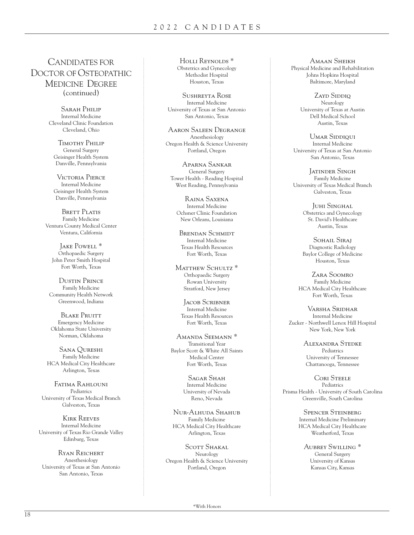### CANDIDATES FOR DOCTOR OF OSTEOPATHIC MEDICINE DEGREE (continued)

Sarah Philip Internal Medicine Cleveland Clinic Foundation Cleveland, Ohio

Timothy Philip General Surgery Geisinger Health System Danville, Pennsylvania

Victoria Pierce Internal Medicine Geisinger Health System Danville, Pennsylvania

BRETT PLATIS Family Medicine Ventura County Medical Center Ventura, California

JAKE POWELL<sup>\*</sup> Orthopaedic Surgery John Peter Smith Hospital Fort Worth, Texas

Dustin Prince Family Medicine Community Health Network Greenwood, Indiana

**BLAKE PRUITT** Emergency Medicine Oklahoma State University Norman, Oklahoma

Sana Qureshi Family Medicine HCA Medical City Healthcare Arlington, Texas

Fatima Rahlouni Pediatrics University of Texas Medical Branch Galveston, Texas

Kirk Reeves Internal Medicine University of Texas Rio Grande Valley Edinburg, Texas

Ryan Reichert Anesthesiology University of Texas at San Antonio San Antonio, Texas

Holli Reynolds \* Obstetrics and Gynecology Methodist Hospital Houston, Texas

Sushreyta Rose Internal Medicine University of Texas at San Antonio San Antonio, Texas

Aaron Saleen Degrange Anesthesiology Oregon Health & Science University Portland, Oregon

Aparna Sankar General Surgery Tower Health - Reading Hospital West Reading, Pennsylvania

Raina Saxena Internal Medicine Ochsner Clinic Foundation New Orleans, Louisiana

BRENDAN SCHMIDT Internal Medicine Texas Health Resources Fort Worth, Texas

MATTHEW SCHULTZ<sup>\*</sup> Orthopaedic Surgery Rowan University Stratford, New Jersey

> Jacob Scribner Internal Medicine Texas Health Resources Fort Worth, Texas

Amanda Seemann \* Transitional Year Baylor Scott & White All Saints Medical Center Fort Worth, Texas

> Sagar Shah Internal Medicine University of Nevada Reno, Nevada

Nur-Alhuda Shahub Family Medicine HCA Medical City Healthcare Arlington, Texas

SCOTT SHAKAL Neurology Oregon Health & Science University Portland, Oregon

Amaan Sheikh Physical Medicine and Rehabilitation Johns Hopkins Hospital Baltimore, Maryland

> Zayd Siddiq Neurology University of Texas at Austin Dell Medical School Austin, Texas

UMAR SIDDIQUI Internal Medicine University of Texas at San Antonio San Antonio, Texas

**JATINDER SINGH** Family Medicine University of Texas Medical Branch Galveston, Texas

> **JUHI SINGHAL** Obstetrics and Gynecology St. David's Healthcare Austin, Texas

> Sohail Siraj Diagnostic Radiology Baylor College of Medicine Houston, Texas

Zara Soomro Family Medicine HCA Medical City Healthcare Fort Worth, Texas

Varsha Sridhar Internal Medicine Zucker - Northwell Lenox Hill Hospital New York, New York

> Alexandra Stedke Pediatrics University of Tennessee Chattanooga, Tennessee

Cori Steele Pediatrics Prisma Health - University of South Carolina Greenville, South Carolina

> Spencer Steinberg Internal Medicine Preliminary HCA Medical City Healthcare Weatherford, Texas

Aubrey Swilling \* General Surgery University of Kansas Kansas City, Kansas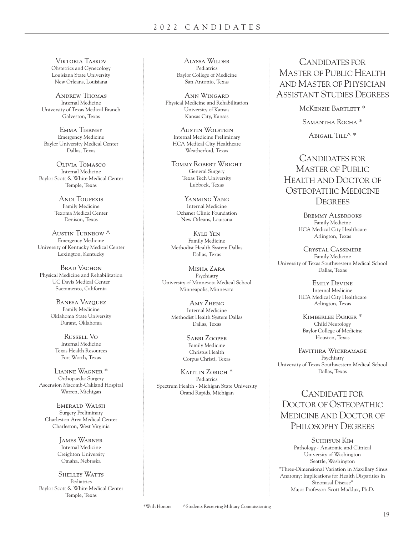Viktoria Taskov Obstetrics and Gynecology Louisiana State University New Orleans, Louisiana

Andrew Thomas Internal Medicine University of Texas Medical Branch Galveston, Texas

Emma Tierney Emergency Medicine Baylor University Medical Center Dallas, Texas

Olivia Tomasco Internal Medicine Baylor Scott & White Medical Center Temple, Texas

> ANDI TOUFEXIS Family Medicine Texoma Medical Center Denison, Texas

AUSTIN TURNBOW<sup>A</sup> Emergency Medicine University of Kentucky Medical Center Lexington, Kentucky

**BRAD VACHON** Physical Medicine and Rehabilitation UC Davis Medical Center Sacramento, California

> **BANESA VAZQUEZ** Family Medicine Oklahoma State University Durant, Oklahoma

Russell Vo Internal Medicine Texas Health Resources Fort Worth, Texas

Lianne Wagner \* Orthopaedic Surgery Ascension Macomb-Oakland Hospital Warren, Michigan

Emerald Walsh Surgery Preliminary Charleston Area Medical Center Charleston, West Virginia

> James Warner Internal Medicine Creighton University Omaha, Nebraska

**SHELLEY WATTS** Pediatrics Baylor Scott & White Medical Center Temple, Texas

Alyssa Wilder Pediatrics Baylor College of Medicine San Antonio, Texas

Ann Wingard Physical Medicine and Rehabilitation University of Kansas Kansas City, Kansas

> Austin Wolstein Internal Medicine Preliminary HCA Medical City Healthcare Weatherford, Texas

Tommy Robert Wright General Surgery Texas Tech University Lubbock, Texas

YANMING YANG Internal Medicine Ochsner Clinic Foundation New Orleans, Louisana

Kyle Yen Family Medicine Methodist Health System Dallas Dallas, Texas

Misha Zara Psychiatry University of Minnesota Medical School Minneapolis, Minnesota

Amy Zheng Internal Medicine Methodist Health System Dallas Dallas, Texas

> Sabri Zooper Family Medicine Christus Health Corpus Christi, Texas

KAITLIN ZORICH<sup>\*</sup> Pediatrics Spectrum Health - Michigan State University Grand Rapids, Michigan

### CANDIDATES FOR MASTER OF PUBLIC HEALTH AND MASTER OF PHYSICIAN ASSISTANT STUDIES DEGREES

McKenzie Bartlett \*

Samantha Rocha<sup>\*</sup>

Abigail Till $^*$ 

### CANDIDATES FOR MASTER OF PUBLIC HEALTH AND DOCTOR OF OSTEOPATHIC MEDICINE **DEGREES**

Bremmy Alsbrooks Family Medicine HCA Medical City Healthcare Arlington, Texas

Crystal Cassimere Family Medicine University of Texas Southwestern Medical School Dallas, Texas

> Emily Devine Internal Medicine HCA Medical City Healthcare Arlington, Texas

Kimberlee Parker \* Child Neurology Baylor College of Medicine Houston, Texas

PAVITHRA WICKRAMAGE Psychiatry University of Texas Southwestern Medical School Dallas, Texas

# CANDIDATE FOR DOCTOR OF OSTEOPATHIC MEDICINE AND DOCTOR OF PHILOSOPHY DEGREES

Suhhyun Kim Pathology - Anatomic and Clinical University of Washington Seattle, Washington "Three-Dimensional Variation in Maxillary Sinus Anatomy: Implications for Health Disparities in Sinonasal Disease" Major Professor: Scott Maddux, Ph.D.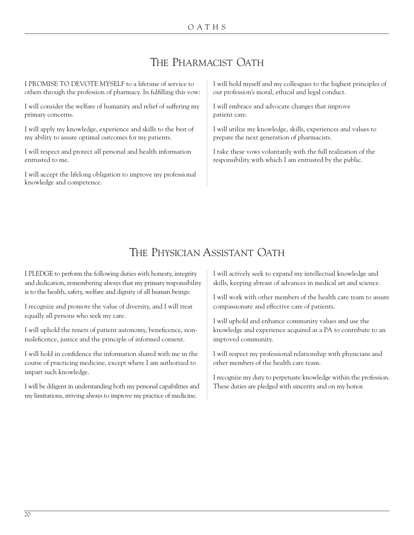# THE PHARMACIST OATH

I PROMISE TO DEVOTE MYSELF to a lifetime of service to others through the profession of pharmacy. In fulfilling this vow:

I will consider the welfare of humanity and relief of suffering my primary concerns.

I will apply my knowledge, experience and skills to the best of my ability to assure optimal outcomes for my patients.

I will respect and protect all personal and health information entrusted to me.

I will accept the lifelong obligation to improve my professional knowledge and competence.

I will hold myself and my colleagues to the highest principles of our profession's moral, ethical and legal conduct.

I will embrace and advocate changes that improve patient care.

I will utilize my knowledge, skills, experiences and values to prepare the next generation of pharmacists.

I take these vows voluntarily with the full realization of the responsibility with which I am entrusted by the public.

# THE PHYSICIAN ASSISTANT OATH

I PLEDGE to perform the following duties with honesty, integrity and dedication, remembering always that my primary responsibility is to the health, safety, welfare and dignity of all human beings:

I recognize and promote the value of diversity, and I will treat equally all persons who seek my care.

I will uphold the tenets of patient autonomy, beneficence, nonmaleficence, justice and the principle of informed consent.

I will hold in confidence the information shared with me in the course of practicing medicine, except where I am authorized to impart such knowledge.

I will be diligent in understanding both my personal capabilities and my limitations, striving always to improve my practice of medicine.

I will actively seek to expand my intellectual knowledge and skills, keeping abreast of advances in medical art and science.

I will work with other members of the health care team to assure compassionate and effective care of patients.

I will uphold and enhance community values and use the knowledge and experience acquired as a PA to contribute to an improved community.

I will respect my professional relationship with physicians and other members of the health care team.

I recognize my duty to perpetuate knowledge within the profession. These duties are pledged with sincerity and on my honor.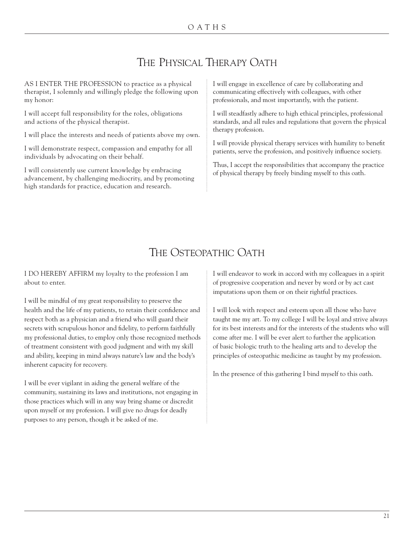# THE PHYSICAL THERAPY OATH

AS I ENTER THE PROFESSION to practice as a physical therapist, I solemnly and willingly pledge the following upon my honor:

I will accept full responsibility for the roles, obligations and actions of the physical therapist.

I will place the interests and needs of patients above my own.

I will demonstrate respect, compassion and empathy for all individuals by advocating on their behalf.

I will consistently use current knowledge by embracing advancement, by challenging mediocrity, and by promoting high standards for practice, education and research.

I will engage in excellence of care by collaborating and communicating effectively with colleagues, with other professionals, and most importantly, with the patient.

I will steadfastly adhere to high ethical principles, professional standards, and all rules and regulations that govern the physical therapy profession.

I will provide physical therapy services with humility to benefit patients, serve the profession, and positively influence society.

Thus, I accept the responsibilities that accompany the practice of physical therapy by freely binding myself to this oath.

# THE OSTEOPATHIC OATH

I DO HEREBY AFFIRM my loyalty to the profession I am about to enter.

I will be mindful of my great responsibility to preserve the health and the life of my patients, to retain their confidence and respect both as a physician and a friend who will guard their secrets with scrupulous honor and fidelity, to perform faithfully my professional duties, to employ only those recognized methods of treatment consistent with good judgment and with my skill and ability, keeping in mind always nature's law and the body's inherent capacity for recovery.

I will be ever vigilant in aiding the general welfare of the community, sustaining its laws and institutions, not engaging in those practices which will in any way bring shame or discredit upon myself or my profession. I will give no drugs for deadly purposes to any person, though it be asked of me.

I will endeavor to work in accord with my colleagues in a spirit of progressive cooperation and never by word or by act cast imputations upon them or on their rightful practices.

I will look with respect and esteem upon all those who have taught me my art. To my college I will be loyal and strive always for its best interests and for the interests of the students who will come after me. I will be ever alert to further the application of basic biologic truth to the healing arts and to develop the principles of osteopathic medicine as taught by my profession.

In the presence of this gathering I bind myself to this oath.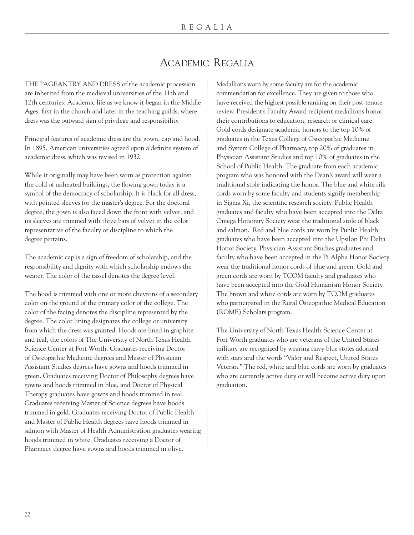# ACADEMIC REGALIA

THE PAGEANTRY AND DRESS of the academic procession are inherited from the medieval universities of the 11th and 12th centuries. Academic life as we know it began in the Middle Ages, first in the church and later in the teaching guilds, where dress was the outward sign of privilege and responsibility.

Principal features of academic dress are the gown, cap and hood. In 1895, American universities agreed upon a definite system of academic dress, which was revised in 1932.

While it originally may have been worn as protection against the cold of unheated buildings, the flowing gown today is a symbol of the democracy of scholarship. It is black for all dress, with pointed sleeves for the master's degree. For the doctoral degree, the gown is also faced down the front with velvet, and its sleeves are trimmed with three bars of velvet in the color representative of the faculty or discipline to which the degree pertains.

The academic cap is a sign of freedom of scholarship, and the responsibility and dignity with which scholarship endows the wearer. The color of the tassel denotes the degree level.

The hood is trimmed with one or more chevrons of a secondary color on the ground of the primary color of the college. The color of the facing denotes the discipline represented by the degree. The color lining designates the college or university from which the dress was granted. Hoods are lined in graphite and teal, the colors of The University of North Texas Health Science Center at Fort Worth. Graduates receiving Doctor of Osteopathic Medicine degrees and Master of Physician Assistant Studies degrees have gowns and hoods trimmed in green. Graduates receiving Doctor of Philosophy degrees have gowns and hoods trimmed in blue, and Doctor of Physical Therapy graduates have gowns and hoods trimmed in teal. Graduates receiving Master of Science degrees have hoods trimmed in gold. Graduates receiving Doctor of Public Health and Master of Public Health degrees have hoods trimmed in salmon with Master of Health Administration graduates wearing hoods trimmed in white. Graduates receiving a Doctor of Pharmacy degree have gowns and hoods trimmed in olive.

Medallions worn by some faculty are for the academic commendation for excellence. They are given to those who have received the highest possible ranking on their post-tenure review. President's Faculty Award recipient medallions honor their contributions to education, research or clinical care. Gold cords designate academic honors to the top 10% of graduates in the Texas College of Osteopathic Medicine and System College of Pharmacy, top 20% of graduates in Physician Assistant Studies and top 10% of graduates in the School of Public Health. The graduate from each academic program who was honored with the Dean's award will wear a traditional stole indicating the honor. The blue and white silk cords worn by some faculty and students signify membership in Sigma Xi, the scientific research society. Public Health graduates and faculty who have been accepted into the Delta Omega Honorary Society wear the traditional stole of black and salmon. Red and blue cords are worn by Public Health graduates who have been accepted into the Upsilon Phi Delta Honor Society. Physician Assistant Studies graduates and faculty who have been accepted in the Pi Alpha Honor Society wear the traditional honor cords of blue and green. Gold and green cords are worn by TCOM faculty and graduates who have been accepted into the Gold Humanism Honor Society. The brown and white cords are worn by TCOM graduates who participated in the Rural Osteopathic Medical Education (ROME) Scholars program.

The University of North Texas Health Science Center at Fort Worth graduates who are veterans of the United States military are recognized by wearing navy blue stoles adorned with stars and the words "Valor and Respect, United States Veteran." The red, white and blue cords are worn by graduates who are currently active duty or will become active duty upon graduation.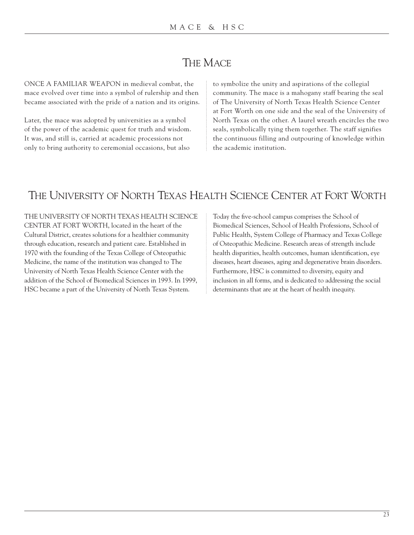# THE MACE

ONCE A FAMILIAR WEAPON in medieval combat, the mace evolved over time into a symbol of rulership and then became associated with the pride of a nation and its origins.

Later, the mace was adopted by universities as a symbol of the power of the academic quest for truth and wisdom. It was, and still is, carried at academic processions not only to bring authority to ceremonial occasions, but also

to symbolize the unity and aspirations of the collegial community. The mace is a mahogany staff bearing the seal of The University of North Texas Health Science Center at Fort Worth on one side and the seal of the University of North Texas on the other. A laurel wreath encircles the two seals, symbolically tying them together. The staff signifies the continuous filling and outpouring of knowledge within the academic institution.

# THE UNIVERSITY OF NORTH TEXAS HEALTH SCIENCE CENTER AT FORT WORTH

THE UNIVERSITY OF NORTH TEXAS HEALTH SCIENCE CENTER AT FORT WORTH, located in the heart of the Cultural District, creates solutions for a healthier community through education, research and patient care. Established in 1970 with the founding of the Texas College of Osteopathic Medicine, the name of the institution was changed to The University of North Texas Health Science Center with the addition of the School of Biomedical Sciences in 1993. In 1999, HSC became a part of the University of North Texas System.

Today the five-school campus comprises the School of Biomedical Sciences, School of Health Professions, School of Public Health, System College of Pharmacy and Texas College of Osteopathic Medicine. Research areas of strength include health disparities, health outcomes, human identification, eye diseases, heart diseases, aging and degenerative brain disorders. Furthermore, HSC is committed to diversity, equity and inclusion in all forms, and is dedicated to addressing the social determinants that are at the heart of health inequity.